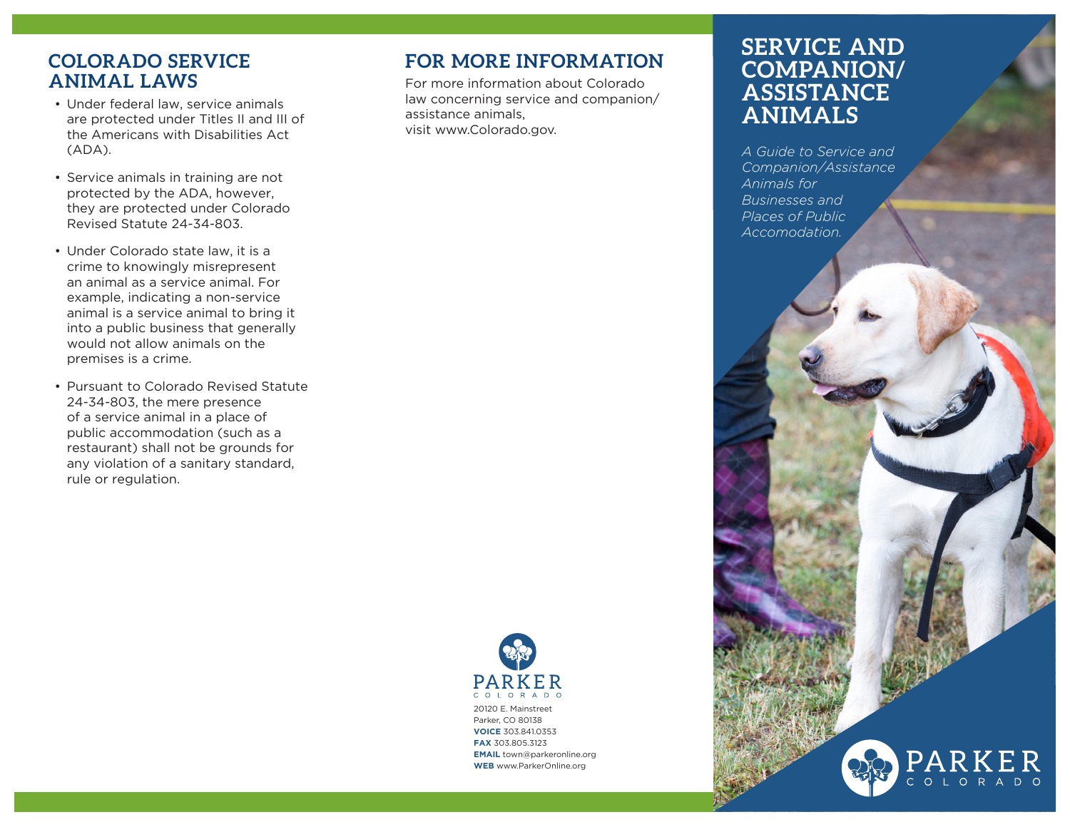#### **COLORADO SERVICE ANIMAL LAWS**

- Under federal law, service animals are protected under Titles II and III of the Americans with Disabilities Act (ADA).
- Service animals in training are not protected by the ADA, however, they are protected under Colorado Revised Statute 24-34-803.
- Under Colorado state law, it is a crime to knowingly misrepresent an animal as a service animal. For example, indicating a non-service animal is a service animal to bring it into a public business that generally would not allow animals on the premises is a crime.
- Pursuant to Colorado Revised Statute 24-34-803, the mere presence of a service animal in a place of public accommodation (such as a restaurant) shall not be grounds for any violation of a sanitary standard, rule or regulation.

### **FOR MORE INFORMATION**

For more information about Colorado law concerning service and companion/ assistance animals, visit www.Colorado.gov.

## **SERVICE AND COMPANION/ ASSISTANCE ANIMALS**

*A Guide to Service and Companion/Assistance Animals for Businesses and Places of Public Accomodation.*

> PARKER  $O$  R

A D O



20120 E. Mainstreet Parker, CO 80138 **VOICE** 303.841.0353 **FAX** 303.805.3123 **EMAIL** town@parkeronline.org **WEB** www.ParkerOnline.org